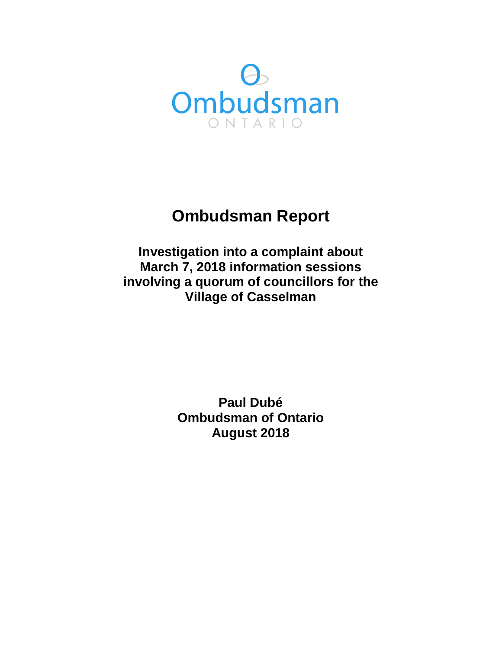

# **Ombudsman Report**

**Investigation into a complaint about March 7, 2018 information sessions involving a quorum of councillors for the Village of Casselman** 

> **Paul Dubé Ombudsman of Ontario August 2018**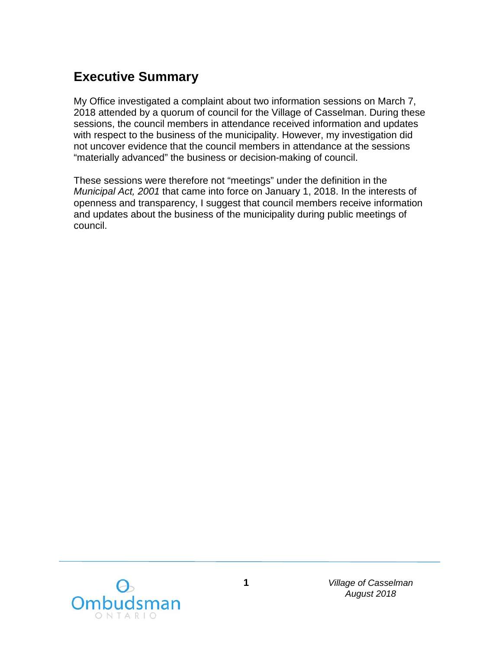#### **Executive Summary**

My Office investigated a complaint about two information sessions on March 7, 2018 attended by a quorum of council for the Village of Casselman. During these sessions, the council members in attendance received information and updates with respect to the business of the municipality. However, my investigation did not uncover evidence that the council members in attendance at the sessions "materially advanced" the business or decision-making of council.

These sessions were therefore not "meetings" under the definition in the *Municipal Act, 2001* that came into force on January 1, 2018. In the interests of openness and transparency, I suggest that council members receive information and updates about the business of the municipality during public meetings of council.

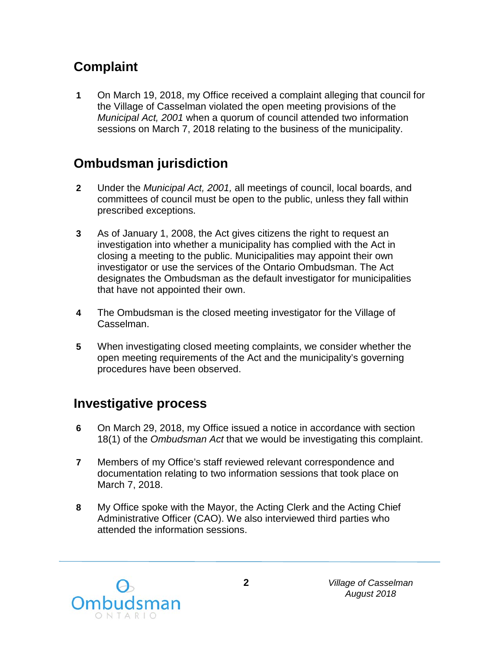# **Complaint**

**1** On March 19, 2018, my Office received a complaint alleging that council for the Village of Casselman violated the open meeting provisions of the *Municipal Act, 2001* when a quorum of council attended two information sessions on March 7, 2018 relating to the business of the municipality.

### **Ombudsman jurisdiction**

- **2** Under the *Municipal Act, 2001,* all meetings of council, local boards, and committees of council must be open to the public, unless they fall within prescribed exceptions.
- **3** As of January 1, 2008, the Act gives citizens the right to request an investigation into whether a municipality has complied with the Act in closing a meeting to the public. Municipalities may appoint their own investigator or use the services of the Ontario Ombudsman. The Act designates the Ombudsman as the default investigator for municipalities that have not appointed their own.
- **4** The Ombudsman is the closed meeting investigator for the Village of Casselman.
- **5** When investigating closed meeting complaints, we consider whether the open meeting requirements of the Act and the municipality's governing procedures have been observed.

### **Investigative process**

- **6** On March 29, 2018, my Office issued a notice in accordance with section 18(1) of the *Ombudsman Act* that we would be investigating this complaint.
- **7** Members of my Office's staff reviewed relevant correspondence and documentation relating to two information sessions that took place on March 7, 2018.
- **8** My Office spoke with the Mayor, the Acting Clerk and the Acting Chief Administrative Officer (CAO). We also interviewed third parties who attended the information sessions.

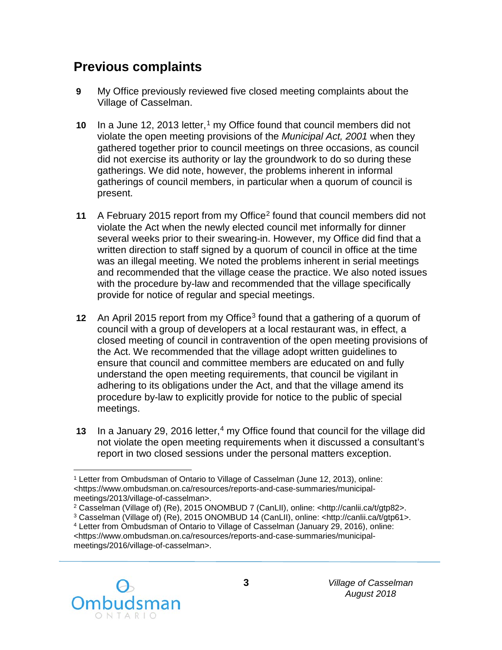#### **Previous complaints**

- **9** My Office previously reviewed five closed meeting complaints about the Village of Casselman.
- **[1](#page-3-0)0** In a June 12, 2013 letter,<sup>1</sup> my Office found that council members did not violate the open meeting provisions of the *Municipal Act, 2001* when they gathered together prior to council meetings on three occasions, as council did not exercise its authority or lay the groundwork to do so during these gatherings. We did note, however, the problems inherent in informal gatherings of council members, in particular when a quorum of council is present.
- **11** A February 2015 report from my Office[2](#page-3-1) found that council members did not violate the Act when the newly elected council met informally for dinner several weeks prior to their swearing-in. However, my Office did find that a written direction to staff signed by a quorum of council in office at the time was an illegal meeting. We noted the problems inherent in serial meetings and recommended that the village cease the practice. We also noted issues with the procedure by-law and recommended that the village specifically provide for notice of regular and special meetings.
- **12** An April 2015 report from my Office<sup>[3](#page-3-2)</sup> found that a gathering of a quorum of council with a group of developers at a local restaurant was, in effect, a closed meeting of council in contravention of the open meeting provisions of the Act. We recommended that the village adopt written guidelines to ensure that council and committee members are educated on and fully understand the open meeting requirements, that council be vigilant in adhering to its obligations under the Act, and that the village amend its procedure by-law to explicitly provide for notice to the public of special meetings.
- **13** In a January 29, 2016 letter,<sup>[4](#page-3-3)</sup> my Office found that council for the village did not violate the open meeting requirements when it discussed a consultant's report in two closed sessions under the personal matters exception.

<span id="page-3-3"></span><span id="page-3-2"></span><span id="page-3-1"></span><sup>4</sup> Letter from Ombudsman of Ontario to Village of Casselman (January 29, 2016), online: <https://www.ombudsman.on.ca/resources/reports-and-case-summaries/municipalmeetings/2016/village-of-casselman>.



<span id="page-3-0"></span> $\overline{a}$ <sup>1</sup> Letter from Ombudsman of Ontario to Village of Casselman (June 12, 2013), online: <https://www.ombudsman.on.ca/resources/reports-and-case-summaries/municipalmeetings/2013/village-of-casselman>.

<sup>2</sup> Casselman (Village of) (Re), 2015 ONOMBUD 7 (CanLII), online: <http://canlii.ca/t/gtp82>.

<sup>3</sup> Casselman (Village of) (Re), 2015 ONOMBUD 14 (CanLII), online: <http://canlii.ca/t/gtp61>.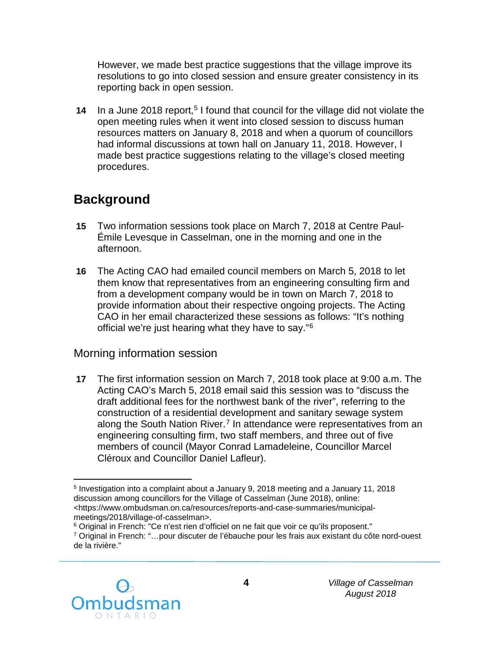However, we made best practice suggestions that the village improve its resolutions to go into closed session and ensure greater consistency in its reporting back in open session.

**14** In a June 2018 report,<sup>[5](#page-4-0)</sup> I found that council for the village did not violate the open meeting rules when it went into closed session to discuss human resources matters on January 8, 2018 and when a quorum of councillors had informal discussions at town hall on January 11, 2018. However, I made best practice suggestions relating to the village's closed meeting procedures.

# **Background**

- **15** Two information sessions took place on March 7, 2018 at Centre Paul-Émile Levesque in Casselman, one in the morning and one in the afternoon.
- **16** The Acting CAO had emailed council members on March 5, 2018 to let them know that representatives from an engineering consulting firm and from a development company would be in town on March 7, 2018 to provide information about their respective ongoing projects. The Acting CAO in her email characterized these sessions as follows: "It's nothing official we're just hearing what they have to say."[6](#page-4-1)

#### Morning information session

**17** The first information session on March 7, 2018 took place at 9:00 a.m. The Acting CAO's March 5, 2018 email said this session was to "discuss the draft additional fees for the northwest bank of the river", referring to the construction of a residential development and sanitary sewage system along the South Nation River.<sup>[7](#page-4-2)</sup> In attendance were representatives from an engineering consulting firm, two staff members, and three out of five members of council (Mayor Conrad Lamadeleine, Councillor Marcel Cléroux and Councillor Daniel Lafleur).

<span id="page-4-2"></span><span id="page-4-1"></span><sup>&</sup>lt;sup>7</sup> Original in French: "... pour discuter de l'ébauche pour les frais aux existant du côte nord-ouest de la rivière."



<span id="page-4-0"></span> $\overline{a}$ <sup>5</sup> Investigation into a complaint about a January 9, 2018 meeting and a January 11, 2018 discussion among councillors for the Village of Casselman (June 2018), online: <https://www.ombudsman.on.ca/resources/reports-and-case-summaries/municipalmeetings/2018/village-of-casselman>.<br><sup>6</sup> Original in French: "Ce n'est rien d'officiel on ne fait que voir ce qu'ils proposent."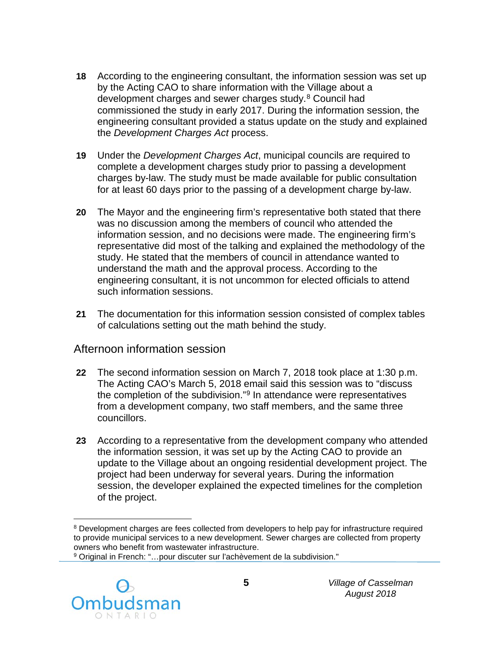- **18** According to the engineering consultant, the information session was set up by the Acting CAO to share information with the Village about a development charges and sewer charges study.<sup>[8](#page-5-0)</sup> Council had commissioned the study in early 2017. During the information session, the engineering consultant provided a status update on the study and explained the *Development Charges Act* process.
- **19** Under the *Development Charges Act*, municipal councils are required to complete a development charges study prior to passing a development charges by-law. The study must be made available for public consultation for at least 60 days prior to the passing of a development charge by-law.
- **20** The Mayor and the engineering firm's representative both stated that there was no discussion among the members of council who attended the information session, and no decisions were made. The engineering firm's representative did most of the talking and explained the methodology of the study. He stated that the members of council in attendance wanted to understand the math and the approval process. According to the engineering consultant, it is not uncommon for elected officials to attend such information sessions.
- **21** The documentation for this information session consisted of complex tables of calculations setting out the math behind the study.

#### Afternoon information session

- **22** The second information session on March 7, 2018 took place at 1:30 p.m. The Acting CAO's March 5, 2018 email said this session was to "discuss the completion of the subdivision."[9](#page-5-1) In attendance were representatives from a development company, two staff members, and the same three councillors.
- **23** According to a representative from the development company who attended the information session, it was set up by the Acting CAO to provide an update to the Village about an ongoing residential development project. The project had been underway for several years. During the information session, the developer explained the expected timelines for the completion of the project.

<span id="page-5-1"></span><span id="page-5-0"></span><sup>9</sup> Original in French: "…pour discuter sur l'achèvement de la subdivision."



 $\overline{a}$ <sup>8</sup> Development charges are fees collected from developers to help pay for infrastructure required to provide municipal services to a new development. Sewer charges are collected from property owners who benefit from wastewater infrastructure.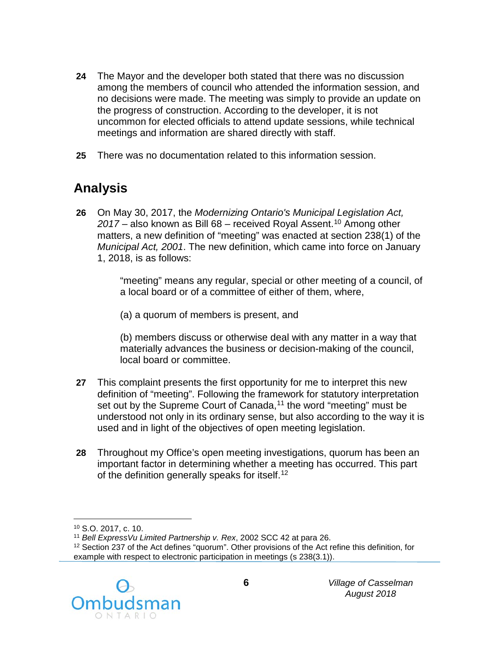- **24** The Mayor and the developer both stated that there was no discussion among the members of council who attended the information session, and no decisions were made. The meeting was simply to provide an update on the progress of construction. According to the developer, it is not uncommon for elected officials to attend update sessions, while technical meetings and information are shared directly with staff.
- **25** There was no documentation related to this information session.

# **Analysis**

**26** On May 30, 2017, the *Modernizing Ontario's Municipal Legislation Act, 2017* – also known as Bill 68 – received Royal Assent.[10](#page-6-0) Among other matters, a new definition of "meeting" was enacted at section 238(1) of the *Municipal Act, 2001*. The new definition, which came into force on January 1, 2018, is as follows:

> "meeting" means any regular, special or other meeting of a council, of a local board or of a committee of either of them, where,

(a) a quorum of members is present, and

(b) members discuss or otherwise deal with any matter in a way that materially advances the business or decision-making of the council, local board or committee.

- **27** This complaint presents the first opportunity for me to interpret this new definition of "meeting". Following the framework for statutory interpretation set out by the Supreme Court of Canada,<sup>[11](#page-6-1)</sup> the word "meeting" must be understood not only in its ordinary sense, but also according to the way it is used and in light of the objectives of open meeting legislation.
- **28** Throughout my Office's open meeting investigations, quorum has been an important factor in determining whether a meeting has occurred. This part of the definition generally speaks for itself.<sup>[12](#page-6-2)</sup>

<span id="page-6-2"></span><span id="page-6-1"></span><span id="page-6-0"></span><sup>&</sup>lt;sup>12</sup> Section 237 of the Act defines "guorum". Other provisions of the Act refine this definition, for example with respect to electronic participation in meetings (s 238(3.1)).



 $\overline{a}$ 

<sup>&</sup>lt;sup>10</sup> S.O. 2017, c. 10.<br><sup>11</sup> Bell Express Vu Limited Partnership v. Rex, 2002 SCC 42 at para 26.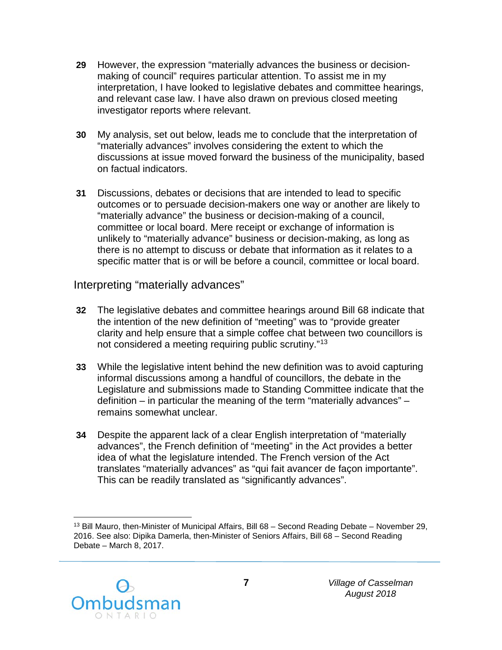- **29** However, the expression "materially advances the business or decisionmaking of council" requires particular attention. To assist me in my interpretation, I have looked to legislative debates and committee hearings, and relevant case law. I have also drawn on previous closed meeting investigator reports where relevant.
- **30** My analysis, set out below, leads me to conclude that the interpretation of "materially advances" involves considering the extent to which the discussions at issue moved forward the business of the municipality, based on factual indicators.
- **31** Discussions, debates or decisions that are intended to lead to specific outcomes or to persuade decision-makers one way or another are likely to "materially advance" the business or decision-making of a council, committee or local board. Mere receipt or exchange of information is unlikely to "materially advance" business or decision-making, as long as there is no attempt to discuss or debate that information as it relates to a specific matter that is or will be before a council, committee or local board.

Interpreting "materially advances"

- **32** The legislative debates and committee hearings around Bill 68 indicate that the intention of the new definition of "meeting" was to "provide greater clarity and help ensure that a simple coffee chat between two councillors is not considered a meeting requiring public scrutiny."[13](#page-7-0)
- **33** While the legislative intent behind the new definition was to avoid capturing informal discussions among a handful of councillors, the debate in the Legislature and submissions made to Standing Committee indicate that the definition – in particular the meaning of the term "materially advances" – remains somewhat unclear.
- **34** Despite the apparent lack of a clear English interpretation of "materially advances", the French definition of "meeting" in the Act provides a better idea of what the legislature intended. The French version of the Act translates "materially advances" as "qui fait avancer de façon importante". This can be readily translated as "significantly advances".

<span id="page-7-0"></span> $\overline{a}$ <sup>13</sup> Bill Mauro, then-Minister of Municipal Affairs, Bill 68 – Second Reading Debate – November 29, 2016. See also: Dipika Damerla, then-Minister of Seniors Affairs, Bill 68 – Second Reading Debate – March 8, 2017.

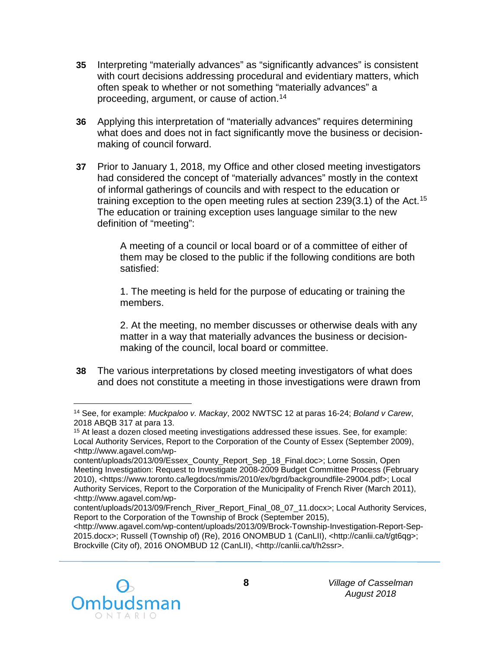- **35** Interpreting "materially advances" as "significantly advances" is consistent with court decisions addressing procedural and evidentiary matters, which often speak to whether or not something "materially advances" a proceeding, argument, or cause of action.[14](#page-8-0)
- **36** Applying this interpretation of "materially advances" requires determining what does and does not in fact significantly move the business or decisionmaking of council forward.
- **37** Prior to January 1, 2018, my Office and other closed meeting investigators had considered the concept of "materially advances" mostly in the context of informal gatherings of councils and with respect to the education or training exception to the open meeting rules at section  $239(3.1)$  of the Act.<sup>[15](#page-8-1)</sup> The education or training exception uses language similar to the new definition of "meeting":

A meeting of a council or local board or of a committee of either of them may be closed to the public if the following conditions are both satisfied:

1. The meeting is held for the purpose of educating or training the members.

2. At the meeting, no member discusses or otherwise deals with any matter in a way that materially advances the business or decisionmaking of the council, local board or committee.

**38** The various interpretations by closed meeting investigators of what does and does not constitute a meeting in those investigations were drawn from

<http://www.agavel.com/wp-content/uploads/2013/09/Brock-Township-Investigation-Report-Sep-2015.docx>; Russell (Township of) (Re), 2016 ONOMBUD 1 (CanLII), <http://canlii.ca/t/gt6qg>; Brockville (City of), 2016 ONOMBUD 12 (CanLII), <http://canlii.ca/t/h2ssr>.



<span id="page-8-0"></span> $\overline{a}$ <sup>14</sup> See, for example: *Muckpaloo v. Mackay*, 2002 NWTSC 12 at paras 16-24; *Boland v Carew*, 2018 ABQB 317 at para 13.

<span id="page-8-1"></span><sup>15</sup> At least a dozen closed meeting investigations addressed these issues. See, for example: Local Authority Services, Report to the Corporation of the County of Essex (September 2009), <http://www.agavel.com/wp-

content/uploads/2013/09/Essex\_County\_Report\_Sep\_18\_Final.doc>; Lorne Sossin, Open Meeting Investigation: Request to Investigate 2008-2009 Budget Committee Process (February 2010), <https://www.toronto.ca/legdocs/mmis/2010/ex/bgrd/backgroundfile-29004.pdf>; Local Authority Services, Report to the Corporation of the Municipality of French River (March 2011), <http://www.agavel.com/wp-

content/uploads/2013/09/French\_River\_Report\_Final\_08\_07\_11.docx>; Local Authority Services, Report to the Corporation of the Township of Brock (September 2015),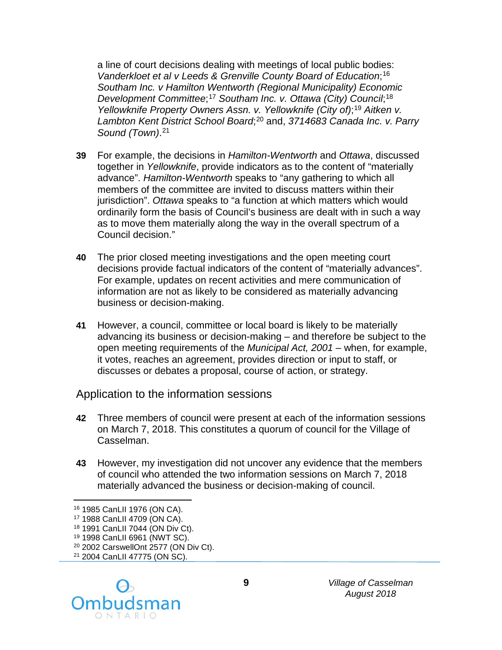a line of court decisions dealing with meetings of local public bodies: *Vanderkloet et al v Leeds & Grenville County Board of Education*; [16](#page-9-0) *Southam Inc. v Hamilton Wentworth (Regional Municipality) Economic Development Committee*; [17](#page-9-1) *Southam Inc. v. Ottawa (City) Council*; [18](#page-9-2) *Yellowknife Property Owners Assn. v. Yellowknife (City of)*; [19](#page-9-3) *Aitken v. Lambton Kent District School Board*; [20](#page-9-4) and, *3714683 Canada Inc. v. Parry Sound (Town)*. [21](#page-9-5)

- **39** For example, the decisions in *Hamilton-Wentworth* and *Ottawa*, discussed together in *Yellowknife*, provide indicators as to the content of "materially advance". *Hamilton-Wentworth* speaks to "any gathering to which all members of the committee are invited to discuss matters within their jurisdiction". *Ottawa* speaks to "a function at which matters which would ordinarily form the basis of Council's business are dealt with in such a way as to move them materially along the way in the overall spectrum of a Council decision."
- **40** The prior closed meeting investigations and the open meeting court decisions provide factual indicators of the content of "materially advances". For example, updates on recent activities and mere communication of information are not as likely to be considered as materially advancing business or decision-making.
- **41** However, a council, committee or local board is likely to be materially advancing its business or decision-making – and therefore be subject to the open meeting requirements of the *Municipal Act, 2001* – when, for example, it votes, reaches an agreement, provides direction or input to staff, or discusses or debates a proposal, course of action, or strategy.

Application to the information sessions

- **42** Three members of council were present at each of the information sessions on March 7, 2018. This constitutes a quorum of council for the Village of Casselman.
- **43** However, my investigation did not uncover any evidence that the members of council who attended the two information sessions on March 7, 2018 materially advanced the business or decision-making of council.

 $\overline{a}$ 

<span id="page-9-5"></span><span id="page-9-4"></span><span id="page-9-3"></span><span id="page-9-2"></span><span id="page-9-1"></span><sup>21</sup> 2004 CanLII 47775 (ON SC).



*Village of Casselman August 2018*

<span id="page-9-0"></span><sup>16</sup> 1985 CanLII 1976 (ON CA).

<sup>17</sup> 1988 CanLII 4709 (ON CA).

<sup>18 1991</sup> CanLII 7044 (ON Div Ct).

<sup>19</sup> 1998 CanLII 6961 (NWT SC).

<sup>20</sup> 2002 CarswellOnt 2577 (ON Div Ct).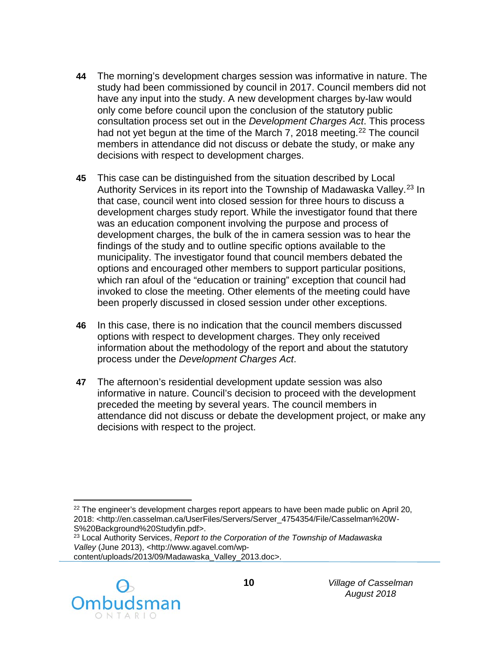- **44** The morning's development charges session was informative in nature. The study had been commissioned by council in 2017. Council members did not have any input into the study. A new development charges by-law would only come before council upon the conclusion of the statutory public consultation process set out in the *Development Charges Act*. This process had not yet begun at the time of the March 7, 2018 meeting.<sup>[22](#page-10-0)</sup> The council members in attendance did not discuss or debate the study, or make any decisions with respect to development charges.
- **45** This case can be distinguished from the situation described by Local Authority Services in its report into the Township of Madawaska Valley.<sup>[23](#page-10-1)</sup> In that case, council went into closed session for three hours to discuss a development charges study report. While the investigator found that there was an education component involving the purpose and process of development charges, the bulk of the in camera session was to hear the findings of the study and to outline specific options available to the municipality. The investigator found that council members debated the options and encouraged other members to support particular positions, which ran afoul of the "education or training" exception that council had invoked to close the meeting. Other elements of the meeting could have been properly discussed in closed session under other exceptions.
- **46** In this case, there is no indication that the council members discussed options with respect to development charges. They only received information about the methodology of the report and about the statutory process under the *Development Charges Act*.
- **47** The afternoon's residential development update session was also informative in nature. Council's decision to proceed with the development preceded the meeting by several years. The council members in attendance did not discuss or debate the development project, or make any decisions with respect to the project.

<span id="page-10-1"></span>content/uploads/2013/09/Madawaska\_Valley\_2013.doc>.



<span id="page-10-0"></span> $\overline{a}$  $22$  The engineer's development charges report appears to have been made public on April 20, 2018: <http://en.casselman.ca/UserFiles/Servers/Server\_4754354/File/Casselman%20W-S%20Background%20Studyfin.pdf>.

<sup>23</sup> Local Authority Services, *Report to the Corporation of the Township of Madawaska Valley* (June 2013), <http://www.agavel.com/wp-